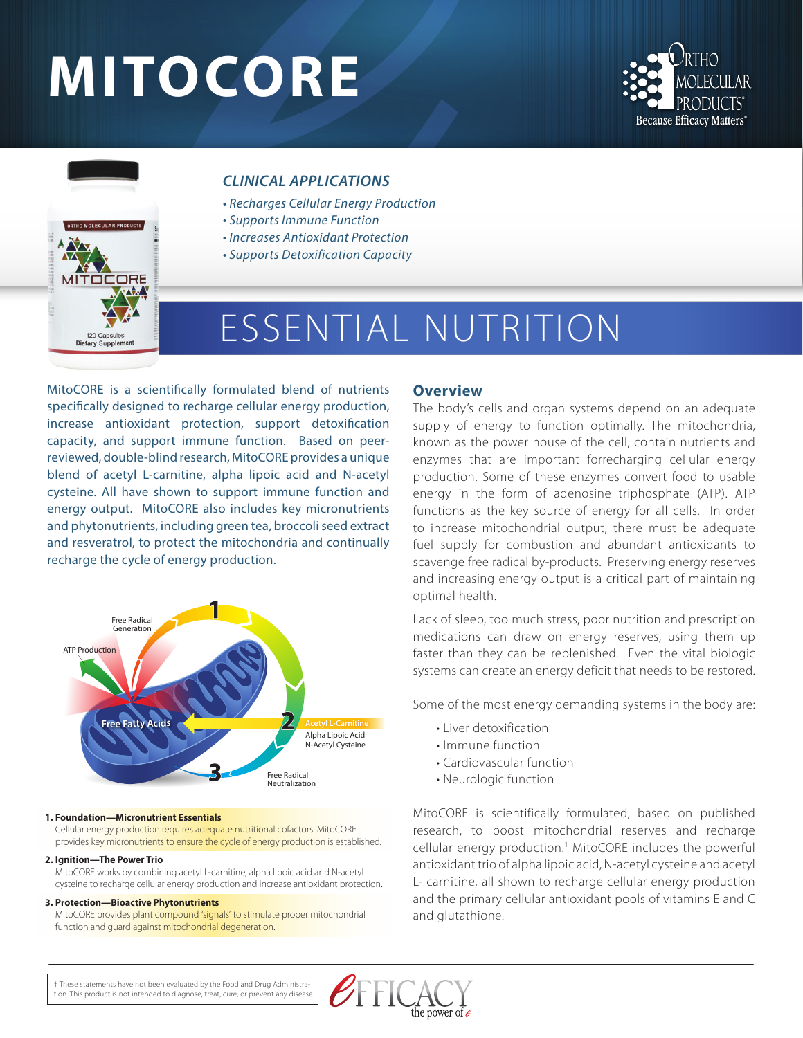# **MITOCORE**





# *CLINICAL APPLICATIONS*

- *Recharges Cellular Energy Production*
- *Supports Immune Function*
- *Increases Antioxidant Protection*
- *Supports Detoxification Capacity*

# ESSENTIAL NUTRITION

MitoCORE is a scientifically formulated blend of nutrients specifically designed to recharge cellular energy production, increase antioxidant protection, support detoxification capacity, and support immune function. Based on peerreviewed, double-blind research, MitoCORE provides a unique blend of acetyl L-carnitine, alpha lipoic acid and N-acetyl cysteine. All have shown to support immune function and energy output. MitoCORE also includes key micronutrients and phytonutrients, including green tea, broccoli seed extract and resveratrol, to protect the mitochondria and continually recharge the cycle of energy production.



#### **1. Foundation—Micronutrient Essentials**

Cellular energy production requires adequate nutritional cofactors. MitoCORE provides key micronutrients to ensure the cycle of energy production is established.

#### **2. Ignition—The Power Trio**

MitoCORE works by combining acetyl L-carnitine, alpha lipoic acid and N-acetyl cysteine to recharge cellular energy production and increase antioxidant protection.

#### **3. Protection—Bioactive Phytonutrients**

MitoCORE provides plant compound "signals" to stimulate proper mitochondrial function and guard against mitochondrial degeneration.

#### **Overview**

The body's cells and organ systems depend on an adequate supply of energy to function optimally. The mitochondria, known as the power house of the cell, contain nutrients and enzymes that are important forrecharging cellular energy production. Some of these enzymes convert food to usable energy in the form of adenosine triphosphate (ATP). ATP functions as the key source of energy for all cells. In order to increase mitochondrial output, there must be adequate fuel supply for combustion and abundant antioxidants to scavenge free radical by-products. Preserving energy reserves and increasing energy output is a critical part of maintaining optimal health.

Lack of sleep, too much stress, poor nutrition and prescription medications can draw on energy reserves, using them up faster than they can be replenished. Even the vital biologic systems can create an energy deficit that needs to be restored.

Some of the most energy demanding systems in the body are:

- Liver detoxification
- Immune function
- Cardiovascular function
- Neurologic function

MitoCORE is scientifically formulated, based on published research, to boost mitochondrial reserves and recharge cellular energy production.<sup>1</sup> MitoCORE includes the powerful antioxidant trio of alpha lipoic acid, N-acetyl cysteine and acetyl L- carnitine, all shown to recharge cellular energy production and the primary cellular antioxidant pools of vitamins E and C and glutathione.

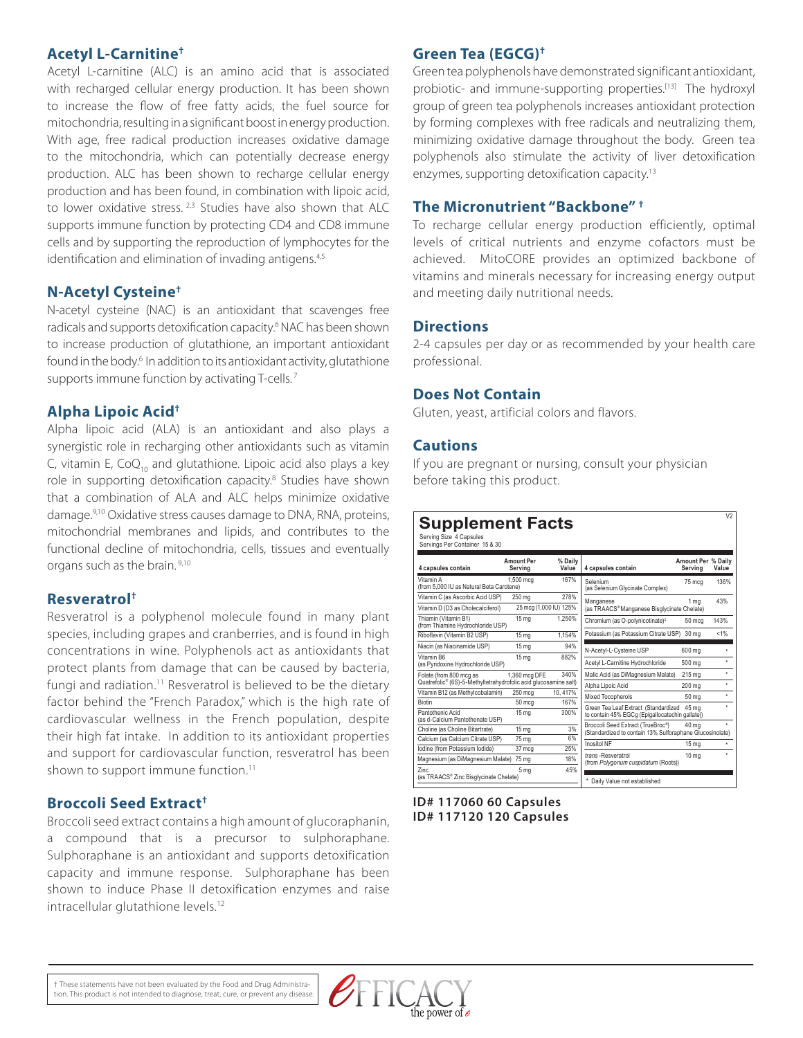#### **Acetyl L-Carnitine†**

Acetyl L-carnitine (ALC) is an amino acid that is associated with recharged cellular energy production. It has been shown to increase the flow of free fatty acids, the fuel source for mitochondria, resulting in a significant boost in energy production. With age, free radical production increases oxidative damage to the mitochondria, which can potentially decrease energy production. ALC has been shown to recharge cellular energy production and has been found, in combination with lipoic acid, to lower oxidative stress. <sup>2,3</sup> Studies have also shown that ALC supports immune function by protecting CD4 and CD8 immune cells and by supporting the reproduction of lymphocytes for the identification and elimination of invading antigens.<sup>4,5</sup>

#### **N-Acetyl Cysteine†**

N-acetyl cysteine (NAC) is an antioxidant that scavenges free radicals and supports detoxification capacity.<sup>6</sup> NAC has been shown to increase production of glutathione, an important antioxidant found in the body.<sup>6</sup> In addition to its antioxidant activity, glutathione supports immune function by activating T-cells.<sup>7</sup>

#### **Alpha Lipoic Acid†**

Alpha lipoic acid (ALA) is an antioxidant and also plays a synergistic role in recharging other antioxidants such as vitamin C, vitamin E,  $CoQ<sub>10</sub>$  and glutathione. Lipoic acid also plays a key role in supporting detoxification capacity.<sup>8</sup> Studies have shown that a combination of ALA and ALC helps minimize oxidative damage.9,10 Oxidative stress causes damage to DNA, RNA, proteins, mitochondrial membranes and lipids, and contributes to the functional decline of mitochondria, cells, tissues and eventually organs such as the brain. 9,10

#### **Resveratrol†**

Resveratrol is a polyphenol molecule found in many plant species, including grapes and cranberries, and is found in high concentrations in wine. Polyphenols act as antioxidants that protect plants from damage that can be caused by bacteria, fungi and radiation.<sup>11</sup> Resveratrol is believed to be the dietary factor behind the "French Paradox," which is the high rate of cardiovascular wellness in the French population, despite their high fat intake. In addition to its antioxidant properties and support for cardiovascular function, resveratrol has been shown to support immune function.<sup>11</sup>

### **Broccoli Seed Extract†**

Broccoli seed extract contains a high amount of glucoraphanin, a compound that is a precursor to sulphoraphane. Sulphoraphane is an antioxidant and supports detoxification capacity and immune response. Sulphoraphane has been shown to induce Phase II detoxification enzymes and raise intracellular glutathione levels.<sup>12</sup>

#### **Green Tea (EGCG)†**

Green tea polyphenols have demonstrated significant antioxidant, probiotic- and immune-supporting properties.<sup>[13]</sup> The hydroxyl group of green tea polyphenols increases antioxidant protection by forming complexes with free radicals and neutralizing them, minimizing oxidative damage throughout the body. Green tea polyphenols also stimulate the activity of liver detoxification enzymes, supporting detoxification capacity.<sup>13</sup>

#### **The Micronutrient "Backbone" †**

To recharge cellular energy production efficiently, optimal levels of critical nutrients and enzyme cofactors must be achieved. MitoCORE provides an optimized backbone of vitamins and minerals necessary for increasing energy output and meeting daily nutritional needs.

#### **Directions**

2-4 capsules per day or as recommended by your health care professional.

#### **Does Not Contain**

Gluten, yeast, artificial colors and flavors.

#### **Cautions**

If you are pregnant or nursing, consult your physician before taking this product.

# **Supplement Facts**

Serving Size 4 Capsules Servings Per Container 15 & 30

| 4 capsules contain                                               | <b>Amount Per</b><br>Serving | % Daily<br>Value | 4 capsules contain                                       | <b>Amount Per % Daily</b><br>Serving | Value   |
|------------------------------------------------------------------|------------------------------|------------------|----------------------------------------------------------|--------------------------------------|---------|
| Vitamin A<br>(from 5.000 IU as Natural Beta Carotene)            | 1.500 mcg                    | 167%             | Selenium<br>(as Selenium Glycinate Complex)              | 75 mca                               | 136%    |
| Vitamin C (as Ascorbic Acid USP)                                 | 250 mg                       | 278%             | Manganese                                                | 1 ma                                 | 43%     |
| Vitamin D (D3 as Cholecalciferol)                                | 25 mcg (1,000 IU) 125%       |                  | (as TRAACS®Manganese Bisglycinate Chelate)               |                                      |         |
| Thiamin (Vitamin B1)<br>(from Thiamine Hydrochloride USP)        | 15 <sub>ma</sub>             | 1.250%           | Chromium (as O-polynicotinate) <sup>#</sup>              | 50 mca                               | 143%    |
| Riboflavin (Vitamin B2 USP)                                      | 15 <sub>mg</sub>             | 1.154%           | Potassium (as Potassium Citrate USP)                     | 30 ma                                | $< 1\%$ |
| Niacin (as Niacinamide USP)                                      | 15 <sub>ma</sub>             | 94%              | N-Acetyl-L-Cysteine USP                                  | 600 mg                               | ٠       |
| Vitamin B6<br>(as Pyridoxine Hydrochloride USP)                  | 15 ma                        | 882%             | Acetyl L-Carnitine Hydrochloride                         | 500 ma                               | ÷       |
| Folate (from 800 mcg as                                          | 1,360 mcg DFE                | 340%             | Malic Acid (as DiMagnesium Malate)                       | 215 ma                               | $\star$ |
| Quatrefolic® (6S)-5-Methyltetrahydrofolic acid glucosamine salt) |                              |                  | Alpha Lipoic Acid                                        | 200 ma                               | $\star$ |
| Vitamin B12 (as Methylcobalamin)                                 | 250 mcg                      | 10.417%          | Mixed Tocopherols                                        | 50 <sub>mg</sub>                     | ÷       |
| <b>Biotin</b>                                                    | 50 mcg                       | 167%             | Green Tea Leaf Extract (Standardized                     | 45 ma                                | ÷       |
| Pantothenic Acid<br>(as d-Calcium Pantothenate USP)              | 15 <sub>ma</sub>             | 300%             | to contain 45% EGCq (Epigallocatechin gallate))          |                                      |         |
| Choline (as Choline Bitartrate)                                  | 15 ma                        | 3%               | Broccoli Seed Extract (TrueBroc®)                        | 40 ma                                | ÷       |
| Calcium (as Calcium Citrate USP)                                 | 75 ma                        | 6%               | (Standardized to contain 13% Sulforaphane Glucosinolate) |                                      |         |
| Iodine (from Potassium Iodide)                                   | 37 mca                       | 25%              | Inositol NF                                              | 15 <sub>mg</sub>                     | ÷       |
| Magnesium (as DiMagnesium Malate)                                | 75 mg                        | 18%              | trans-Resveratrol<br>(from Polygonum cuspidatum (Roots)) | 10 <sub>mg</sub>                     | ÷       |
| Zinc.<br>(as TRAACS® Zinc Bisglycinate Chelate)                  | 5 mg                         | 45%              | Daily Value not established                              |                                      |         |

**ID# 117060 60 Capsules ID# 117120 120 Capsules**